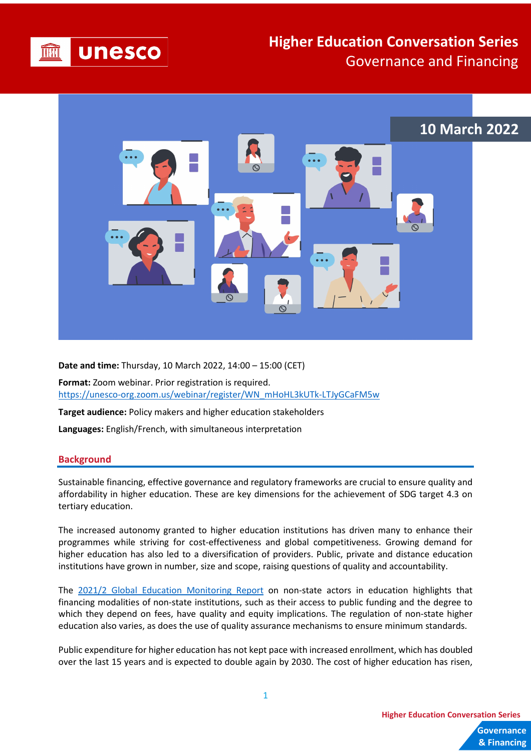

## **Higher Education Conversation Series** Governance and Financing



**Date and time:** Thursday, 10 March 2022, 14:00 – 15:00 (CET)

**Format:** Zoom webinar. Prior registration is required. [https://unesco-org.zoom.us/webinar/register/WN\\_mHoHL3kUTk-LTJyGCaFM5w](https://unesco-org.zoom.us/webinar/register/WN_mHoHL3kUTk-LTJyGCaFM5w)

**Target audience:** Policy makers and higher education stakeholders

**Languages:** English/French, with simultaneous interpretation

## **Background**

Sustainable financing, effective governance and regulatory frameworks are crucial to ensure quality and affordability in higher education. These are key dimensions for the achievement of SDG target 4.3 on tertiary education.

The increased autonomy granted to higher education institutions has driven many to enhance their programmes while striving for cost-effectiveness and global competitiveness. Growing demand for higher education has also led to a diversification of providers. Public, private and distance education institutions have grown in number, size and scope, raising questions of quality and accountability.

The [2021/2 Global Education Monitoring Report](https://en.unesco.org/gem-report/non-state_actors) on non-state actors in education highlights that financing modalities of non-state institutions, such as their access to public funding and the degree to which they depend on fees, have quality and equity implications. The regulation of non-state higher education also varies, as does the use of quality assurance mechanisms to ensure minimum standards.

Public expenditure for higher education has not kept pace with increased enrollment, which has doubled over the last 15 years and is expected to double again by 2030. The cost of higher education has risen,